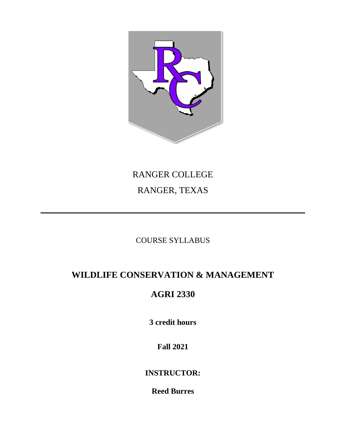

# RANGER COLLEGE RANGER, TEXAS

# COURSE SYLLABUS

# **WILDLIFE CONSERVATION & MANAGEMENT**

# **AGRI 2330**

**3 credit hours**

**Fall 2021**

**INSTRUCTOR:**

**Reed Burres**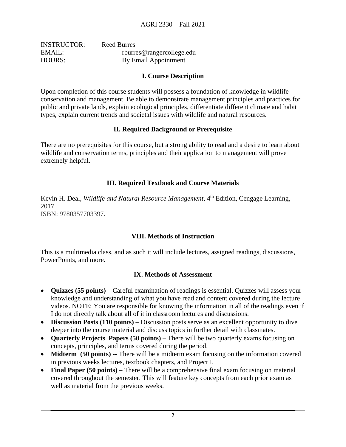| <b>INSTRUCTOR:</b> | Reed Burres               |
|--------------------|---------------------------|
| EMAIL:             | rburres@rangercollege.edu |
| HOURS:             | By Email Appointment      |

#### **I. Course Description**

Upon completion of this course students will possess a foundation of knowledge in wildlife conservation and management. Be able to demonstrate management principles and practices for public and private lands, explain ecological principles, differentiate different climate and habit types, explain current trends and societal issues with wildlife and natural resources.

### **II. Required Background or Prerequisite**

There are no prerequisites for this course, but a strong ability to read and a desire to learn about wildlife and conservation terms, principles and their application to management will prove extremely helpful.

### **III. Required Textbook and Course Materials**

Kevin H. Deal, *Wildlife and Natural Resource Management*, 4<sup>th</sup> Edition, Cengage Learning, 2017. ISBN: 9780357703397.

#### **VIII. Methods of Instruction**

This is a multimedia class, and as such it will include lectures, assigned readings, discussions, PowerPoints, and more.

#### **IX. Methods of Assessment**

- **Quizzes (55 points)** Careful examination of readings is essential. Quizzes will assess your knowledge and understanding of what you have read and content covered during the lecture videos. NOTE: You are responsible for knowing the information in all of the readings even if I do not directly talk about all of it in classroom lectures and discussions.
- **Discussion Posts (110 points)** Discussion posts serve as an excellent opportunity to dive deeper into the course material and discuss topics in further detail with classmates.
- **Quarterly Projects Papers (50 points)** There will be two quarterly exams focusing on concepts, principles, and terms covered during the period.
- **Midterm** (50 points) -- There will be a midterm exam focusing on the information covered in previous weeks lectures, textbook chapters, and Project I.
- **Final Paper (50 points)** There will be a comprehensive final exam focusing on material covered throughout the semester. This will feature key concepts from each prior exam as well as material from the previous weeks.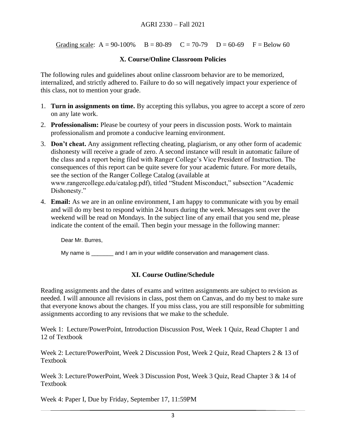Grading scale:  $A = 90-100\%$   $B = 80-89$   $C = 70-79$   $D = 60-69$   $F = Below 60$ 

#### **X. Course/Online Classroom Policies**

The following rules and guidelines about online classroom behavior are to be memorized, internalized, and strictly adhered to. Failure to do so will negatively impact your experience of this class, not to mention your grade.

- 1. **Turn in assignments on time.** By accepting this syllabus, you agree to accept a score of zero on any late work.
- 2. **Professionalism:** Please be courtesy of your peers in discussion posts. Work to maintain professionalism and promote a conducive learning environment.
- 3. **Don't cheat.** Any assignment reflecting cheating, plagiarism, or any other form of academic dishonesty will receive a grade of zero. A second instance will result in automatic failure of the class and a report being filed with Ranger College's Vice President of Instruction. The consequences of this report can be quite severe for your academic future. For more details, see the section of the Ranger College Catalog (available at www.rangercollege.edu/catalog.pdf), titled "Student Misconduct," subsection "Academic Dishonesty."
- 4. **Email:** As we are in an online environment, I am happy to communicate with you by email and will do my best to respond within 24 hours during the week. Messages sent over the weekend will be read on Mondays. In the subject line of any email that you send me, please indicate the content of the email. Then begin your message in the following manner:

Dear Mr. Burres,

My name is early and I am in your wildlife conservation and management class.

# **XI. Course Outline/Schedule**

Reading assignments and the dates of exams and written assignments are subject to revision as needed. I will announce all revisions in class, post them on Canvas, and do my best to make sure that everyone knows about the changes. If you miss class, you are still responsible for submitting assignments according to any revisions that we make to the schedule.

Week 1: Lecture/PowerPoint, Introduction Discussion Post, Week 1 Quiz, Read Chapter 1 and 12 of Textbook

Week 2: Lecture/PowerPoint, Week 2 Discussion Post, Week 2 Quiz, Read Chapters 2 & 13 of Textbook

Week 3: Lecture/PowerPoint, Week 3 Discussion Post, Week 3 Quiz, Read Chapter 3 & 14 of Textbook

Week 4: Paper I, Due by Friday, September 17, 11:59PM